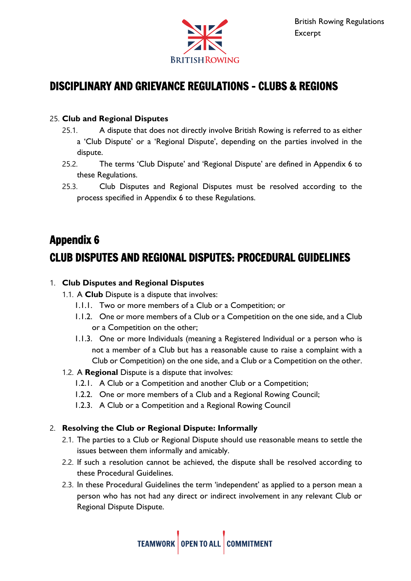

## DISCIPLINARY AND GRIEVANCE REGULATIONS – CLUBS & REGIONS

#### 25. **Club and Regional Disputes**

- 25.1. A dispute that does not directly involve British Rowing is referred to as either a 'Club Dispute' or a 'Regional Dispute', depending on the parties involved in the dispute.
- 25.2. The terms 'Club Dispute' and 'Regional Dispute' are defined in Appendix 6 to these Regulations.
- 25.3. Club Disputes and Regional Disputes must be resolved according to the process specified in Appendix 6 to these Regulations.

# Appendix 6 CLUB DISPUTES AND REGIONAL DISPUTES: PROCEDURAL GUIDELINES

#### 1. **Club Disputes and Regional Disputes**

- 1.1. A **Club** Dispute is a dispute that involves:
	- 1.1.1. Two or more members of a Club or a Competition; or
	- 1.1.2. One or more members of a Club or a Competition on the one side, and a Club or a Competition on the other;
	- 1.1.3. One or more Individuals (meaning a Registered Individual or a person who is not a member of a Club but has a reasonable cause to raise a complaint with a Club or Competition) on the one side, and a Club or a Competition on the other.
- 1.2. A **Regional** Dispute is a dispute that involves:
	- 1.2.1. A Club or a Competition and another Club or a Competition;
	- 1.2.2. One or more members of a Club and a Regional Rowing Council;
	- 1.2.3. A Club or a Competition and a Regional Rowing Council

### 2. **Resolving the Club or Regional Dispute: Informally**

- 2.1. The parties to a Club or Regional Dispute should use reasonable means to settle the issues between them informally and amicably.
- 2.2. If such a resolution cannot be achieved, the dispute shall be resolved according to these Procedural Guidelines.
- 2.3. In these Procedural Guidelines the term 'independent' as applied to a person mean a person who has not had any direct or indirect involvement in any relevant Club or Regional Dispute Dispute.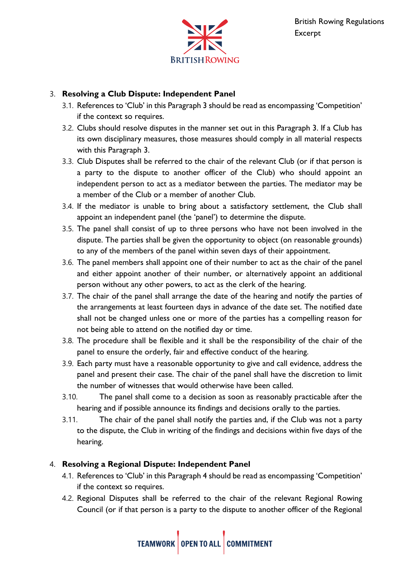

#### 3. **Resolving a Club Dispute: Independent Panel**

- 3.1. References to 'Club' in this Paragraph 3 should be read as encompassing 'Competition' if the context so requires.
- 3.2. Clubs should resolve disputes in the manner set out in this Paragraph 3. If a Club has its own disciplinary measures, those measures should comply in all material respects with this Paragraph 3.
- 3.3. Club Disputes shall be referred to the chair of the relevant Club (or if that person is a party to the dispute to another officer of the Club) who should appoint an independent person to act as a mediator between the parties. The mediator may be a member of the Club or a member of another Club.
- 3.4. If the mediator is unable to bring about a satisfactory settlement, the Club shall appoint an independent panel (the 'panel') to determine the dispute.
- 3.5. The panel shall consist of up to three persons who have not been involved in the dispute. The parties shall be given the opportunity to object (on reasonable grounds) to any of the members of the panel within seven days of their appointment.
- 3.6. The panel members shall appoint one of their number to act as the chair of the panel and either appoint another of their number, or alternatively appoint an additional person without any other powers, to act as the clerk of the hearing.
- 3.7. The chair of the panel shall arrange the date of the hearing and notify the parties of the arrangements at least fourteen days in advance of the date set. The notified date shall not be changed unless one or more of the parties has a compelling reason for not being able to attend on the notified day or time.
- 3.8. The procedure shall be flexible and it shall be the responsibility of the chair of the panel to ensure the orderly, fair and effective conduct of the hearing.
- 3.9. Each party must have a reasonable opportunity to give and call evidence, address the panel and present their case. The chair of the panel shall have the discretion to limit the number of witnesses that would otherwise have been called.
- 3.10. The panel shall come to a decision as soon as reasonably practicable after the hearing and if possible announce its findings and decisions orally to the parties.
- 3.11. The chair of the panel shall notify the parties and, if the Club was not a party to the dispute, the Club in writing of the findings and decisions within five days of the hearing.

### 4. **Resolving a Regional Dispute: Independent Panel**

- 4.1. References to 'Club' in this Paragraph 4 should be read as encompassing 'Competition' if the context so requires.
- 4.2. Regional Disputes shall be referred to the chair of the relevant Regional Rowing Council (or if that person is a party to the dispute to another officer of the Regional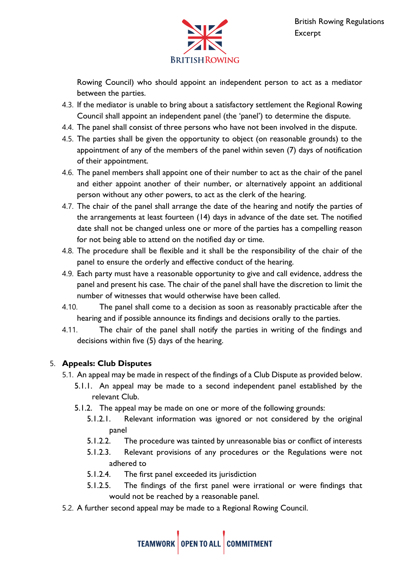

Rowing Council) who should appoint an independent person to act as a mediator between the parties.

- 4.3. If the mediator is unable to bring about a satisfactory settlement the Regional Rowing Council shall appoint an independent panel (the 'panel') to determine the dispute.
- 4.4. The panel shall consist of three persons who have not been involved in the dispute.
- 4.5. The parties shall be given the opportunity to object (on reasonable grounds) to the appointment of any of the members of the panel within seven (7) days of notification of their appointment.
- 4.6. The panel members shall appoint one of their number to act as the chair of the panel and either appoint another of their number, or alternatively appoint an additional person without any other powers, to act as the clerk of the hearing.
- 4.7. The chair of the panel shall arrange the date of the hearing and notify the parties of the arrangements at least fourteen (14) days in advance of the date set. The notified date shall not be changed unless one or more of the parties has a compelling reason for not being able to attend on the notified day or time.
- 4.8. The procedure shall be flexible and it shall be the responsibility of the chair of the panel to ensure the orderly and effective conduct of the hearing.
- 4.9. Each party must have a reasonable opportunity to give and call evidence, address the panel and present his case. The chair of the panel shall have the discretion to limit the number of witnesses that would otherwise have been called.
- 4.10. The panel shall come to a decision as soon as reasonably practicable after the hearing and if possible announce its findings and decisions orally to the parties.
- 4.11. The chair of the panel shall notify the parties in writing of the findings and decisions within five (5) days of the hearing.

### 5. **Appeals: Club Disputes**

- 5.1. An appeal may be made in respect of the findings of a Club Dispute as provided below.
	- 5.1.1. An appeal may be made to a second independent panel established by the relevant Club.
	- 5.1.2. The appeal may be made on one or more of the following grounds:
		- 5.1.2.1. Relevant information was ignored or not considered by the original panel
		- 5.1.2.2. The procedure was tainted by unreasonable bias or conflict of interests
		- 5.1.2.3. Relevant provisions of any procedures or the Regulations were not adhered to
		- 5.1.2.4. The first panel exceeded its jurisdiction
		- 5.1.2.5. The findings of the first panel were irrational or were findings that would not be reached by a reasonable panel.
- 5.2. A further second appeal may be made to a Regional Rowing Council.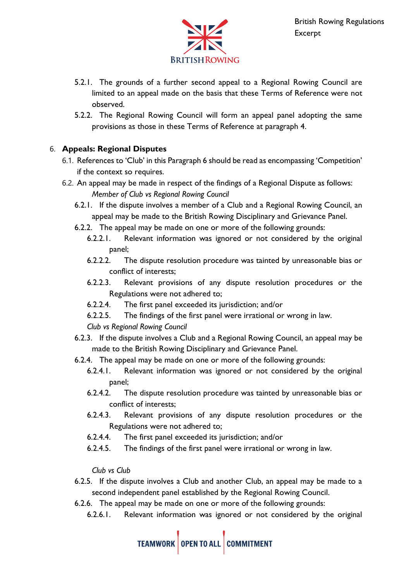

- 5.2.1. The grounds of a further second appeal to a Regional Rowing Council are limited to an appeal made on the basis that these Terms of Reference were not observed.
- 5.2.2. The Regional Rowing Council will form an appeal panel adopting the same provisions as those in these Terms of Reference at paragraph 4.

#### 6. **Appeals: Regional Disputes**

- 6.1. References to 'Club' in this Paragraph 6 should be read as encompassing 'Competition' if the context so requires.
- 6.2. An appeal may be made in respect of the findings of a Regional Dispute as follows: *Member of Club vs Regional Rowing Council*
	- 6.2.1. If the dispute involves a member of a Club and a Regional Rowing Council, an appeal may be made to the British Rowing Disciplinary and Grievance Panel.
	- 6.2.2. The appeal may be made on one or more of the following grounds:
		- 6.2.2.1. Relevant information was ignored or not considered by the original panel;
		- 6.2.2.2. The dispute resolution procedure was tainted by unreasonable bias or conflict of interests;
		- 6.2.2.3. Relevant provisions of any dispute resolution procedures or the Regulations were not adhered to;
		- 6.2.2.4. The first panel exceeded its jurisdiction; and/or
		- 6.2.2.5. The findings of the first panel were irrational or wrong in law.

*Club vs Regional Rowing Council*

- 6.2.3. If the dispute involves a Club and a Regional Rowing Council, an appeal may be made to the British Rowing Disciplinary and Grievance Panel.
- 6.2.4. The appeal may be made on one or more of the following grounds:
	- 6.2.4.1. Relevant information was ignored or not considered by the original panel;
	- 6.2.4.2. The dispute resolution procedure was tainted by unreasonable bias or conflict of interests;
	- 6.2.4.3. Relevant provisions of any dispute resolution procedures or the Regulations were not adhered to;
	- 6.2.4.4. The first panel exceeded its jurisdiction; and/or
	- 6.2.4.5. The findings of the first panel were irrational or wrong in law.

*Club vs Club*

- 6.2.5. If the dispute involves a Club and another Club, an appeal may be made to a second independent panel established by the Regional Rowing Council.
- 6.2.6. The appeal may be made on one or more of the following grounds:
	- 6.2.6.1. Relevant information was ignored or not considered by the original